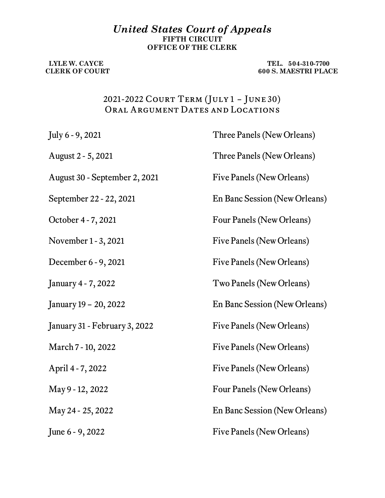## *United States Court of Appeals* **FIFTH CIRCUIT OFFICE OF THE CLERK**

 **LYLE W. CAYCE TEL. 504-310-7700 CLERK OF COURT 600 S. MAESTRI PLACE** 

## 2021-2022 Court Term (July 1 – June 30) ORAL ARGUMENT DATES AND LOCATIONS

| July 6 - 9, 2021              | Three Panels (New Orleans)    |
|-------------------------------|-------------------------------|
| August 2 - 5, 2021            | Three Panels (New Orleans)    |
| August 30 - September 2, 2021 | Five Panels (New Orleans)     |
| September 22 - 22, 2021       | En Banc Session (New Orleans) |
| October 4 - 7, 2021           | Four Panels (New Orleans)     |
| November 1 - 3, 2021          | Five Panels (New Orleans)     |
| December 6 - 9, 2021          | Five Panels (New Orleans)     |
| January 4 - 7, 2022           | Two Panels (New Orleans)      |
| January 19 - 20, 2022         | En Banc Session (New Orleans) |
| January 31 - February 3, 2022 | Five Panels (New Orleans)     |
| March 7 - 10, 2022            | Five Panels (New Orleans)     |
| April 4 - 7, 2022             | Five Panels (New Orleans)     |
| May 9 - 12, 2022              | Four Panels (New Orleans)     |
| May 24 - 25, 2022             | En Banc Session (New Orleans) |
| June 6 - 9, 2022              | Five Panels (New Orleans)     |